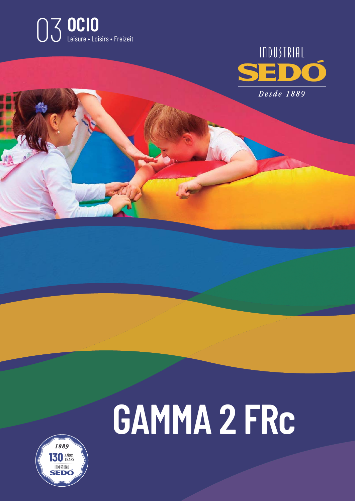



# **GAMMA 2 FRc**

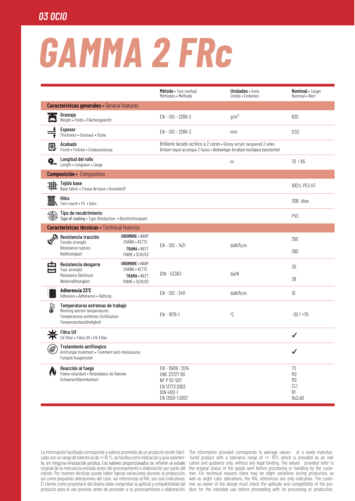### **03 OCIO**

## **GAMMA 2 FRC**

|                                                     |                                                                                                                                   |                                                          | Método • Test method<br>Méthodes • Methode                                                                                                                | <b>Unidades •</b> Units<br>Unités • Einheiten | Nominal • Target<br>Nominal • Wert                            |
|-----------------------------------------------------|-----------------------------------------------------------------------------------------------------------------------------------|----------------------------------------------------------|-----------------------------------------------------------------------------------------------------------------------------------------------------------|-----------------------------------------------|---------------------------------------------------------------|
| <b>Característcas generales · General features</b>  |                                                                                                                                   |                                                          |                                                                                                                                                           |                                               |                                                               |
|                                                     | Gramaje<br>Weight • Poids • Flächengewicht                                                                                        |                                                          | EN - ISO - 2286-2                                                                                                                                         | $g/m^2$                                       | 620                                                           |
|                                                     | Espesor<br>Thickness • Grosseur • Dicke                                                                                           |                                                          | EN - ISO - 2286-3                                                                                                                                         | mm                                            | 0,52                                                          |
| ■                                                   | Acabado<br>Finish • Finition • Endausrüstung                                                                                      |                                                          | Brillante lacado acrílico a 2 caras · Glossy acrylic lacquered 2 sides<br>Brillant laqué acrylique 2 faces · Beidseitiger Acryllack hochglanz beschichtet |                                               |                                                               |
| Q_,                                                 | Longitud del rollo<br>Length • Longueur • Länge                                                                                   |                                                          |                                                                                                                                                           | m                                             | 70 / 65                                                       |
| <b>Composición ·</b> Composition                    |                                                                                                                                   |                                                          |                                                                                                                                                           |                                               |                                                               |
|                                                     | Tejido base<br>Base fabric . Tissue de base . Grundstoff                                                                          |                                                          |                                                                                                                                                           |                                               | 100% PES HT                                                   |
|                                                     | Hilos<br>Yarn count . Fil . Garn                                                                                                  |                                                          |                                                                                                                                                           |                                               | $1100$ dtex                                                   |
| ۱                                                   | Tipo de recubrimiento<br>Type of coating . Type d'enduction . Beschichtungsart                                                    |                                                          |                                                                                                                                                           |                                               | <b>PVC</b>                                                    |
| <b>Característcas técnicas · Technical features</b> |                                                                                                                                   |                                                          |                                                                                                                                                           |                                               |                                                               |
|                                                     | Resistencia tracción<br>Tensile strenght<br>Résistance rupture                                                                    | <b>URDIMBRE - WARP</b><br>CHAÎNE • KETTE<br>TRAMA · WEFT | EN - ISO - 1421                                                                                                                                           | daN/5cm                                       | 250                                                           |
|                                                     | Reißfestigkeit                                                                                                                    | TRAME • SCHUSS                                           |                                                                                                                                                           |                                               | 260                                                           |
| 卬<br><u>М</u>                                       | Resistencia desgarre<br>Tear strenght                                                                                             | <b>URDIMBRE • WARP</b><br>CHAÎNE • KETTE                 |                                                                                                                                                           |                                               | 30                                                            |
|                                                     | Résistance Déchirure<br>Weiterreßfestigkeit                                                                                       | TRAMA · WEFT<br>TRAME . SCHUSS                           | DIN - 53363                                                                                                                                               | da/N                                          | 28                                                            |
| Ĵ                                                   | Adherencia 23°C<br>Adhesion • Adhérence • Haftung                                                                                 |                                                          | $EN - ISO - 2411$                                                                                                                                         | daN/5cm                                       | 10                                                            |
| 1                                                   | Temperaturas extremas de trabajo<br>Working extrem temperatures<br>Températures extrêmes d'utilisation<br>Temperaturbeständigkeit |                                                          | $EN - 1876 - 1$                                                                                                                                           | °C                                            | $-30/1+70$                                                    |
|                                                     | <b>Filtro UV</b><br>UV filter . Filtre UV . UV-Filter                                                                             |                                                          |                                                                                                                                                           |                                               | ✓                                                             |
| ₩                                                   | Tratamiento antifúngico<br>Antifungal treatment • Traitment anti-moisissures<br>Fungzid Ausgerüstet                               |                                                          |                                                                                                                                                           |                                               | $\checkmark$                                                  |
| W                                                   | Reacción al fuego<br>Flame retardant · Retardateur de flamme<br>Schwerentflammbarkeit                                             |                                                          | EN - 15619: 2014<br>UNE 23727-90<br>NF P 92-507<br>EN 13773:2003<br>DIN 4102-1<br>EN 13501-1:2007                                                         |                                               | T <sub>2</sub><br>M2<br>M <sub>2</sub><br>CL1<br>B1<br>Bs2,d0 |

cado con un rango de tolerancia de +/-10 %, se facilita como indicación y quía solamente, sin ninguna vinculación jurídica. Los valores proporcionados se refieren al estado original de la mercancía enviada antes del procesamiento o elaboración por parte del cliente. Por razones técnicas puede haber ligeras variaciones durante la producción, así como pequeñas alteraciones del color, las referencias al RAL son solo indicativas. El cliente como propietario del diseño debe comprobar la aptitud y compatibilidad del

La información facilitada corresponde a valores promedio de un producto recién fabri- The information provided corresponds to average values of a newly manufactured product with a tolerance range of +/- 10% which is provided as an indi-<br>cation and guidance only, without any legal binding. The values provided refer to the original status of the goods sent before processing or handling by the customer. For technical reasons there may be slight variations during production, as well as slight color alterations, the RAL references are only indicative. The customer as owner of the design must check the aptitude and compatibility of the proproducto para el uso previsto antes de proceder a su procesamiento o elaboración. duct for the intended use before proceeding with its processing or production.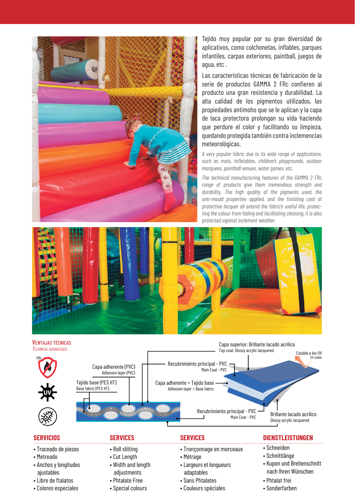

Tejido muy popular por su gran diversidad de aplicativos, como colchonetas, inflables, parques infantiles, carpas exteriores, paintball, juegos de agua, etc .

Las características técnicas de fabricación de la serie de productos GAMMA 2 FRc confieren al producto una gran resistencia y durabilidad. La alta calidad de los pigmentos utilizados, las propiedades antimoho que se le aplican y la capa de laca protectora prolongan su vida haciendo que perdure el color y facilitando su limpieza, quedando protegida también contra inclemencias meteorológicas.

*A very popular fabric due to its wide range of applications, such as mats, inflatables, children's playgrounds, outdoor marquees, paintball venues, water games, etc.* 

*The technical manufacturing features of the GAMMA 2 FRc range of products give them tremendous strength and durability. The high quality of the pigments used, the anti-mould properties applied, and the finishing coat of protective lacquer all extend the fabric's useful life, protecting the colour from fading and facilitating cleaning; it is also protected against inclement weather.*





#### **SERVICIOS**

- Troceado de piezas
- Metreado
- Anchos y longitudes ajustables
- Libre de ftalatos
- Colores especiales

#### **SERVICES**

- Roll slitting
- Cut Length
- Width and length adiustments
- Phtalate Free • Special colours
	-

#### **SERVICES**

- Tronçonnage en morceaux
- Métrage
- Largeurs et longueurs adaptables
- Sans Phtalates
- Couleurs spéciales

#### **DIENSTLEISTUNGEN**

- Schneiden
- Schnittlänge
- Kupon und Breitenschnitt nach Ihren Wünschen
- Phtalat frei
- Sonderfarben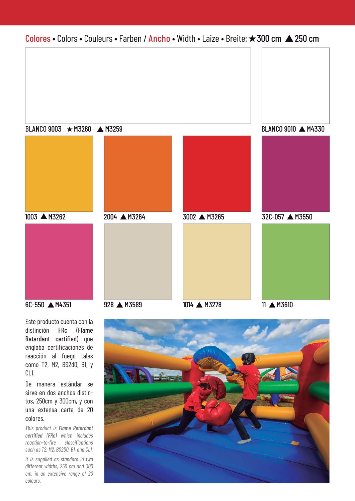

Este producto cuenta con la distinción FRc (Flame Retardant certified) que engloba certificaciones de reacción al fuego tales como T2, M2, BS2d0, B1, y CL1.

De manera estándar se sirve en dos anchos distintos, 250cm y 300cm, y con una extensa carta de 20 colores.

*This product is Flame Retardant certified (FRc) which includes reaction-to-fire classifications such as T2, M2, BS2D0, B1, and CL1.*

*It is supplied as standard in two different widths, 250 cm and 300 cm, in an extensive range of 20 colours.*

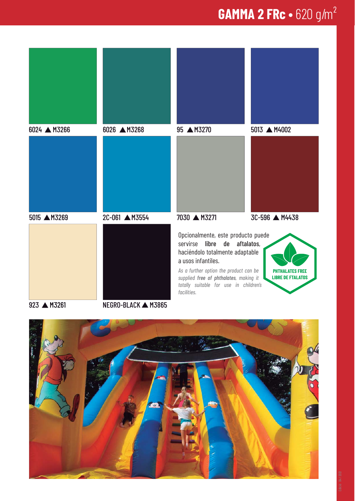### **GAMMA 2 FRc •** 620 g/m²



923 A M3261 NEGRO-BLACK A M3865